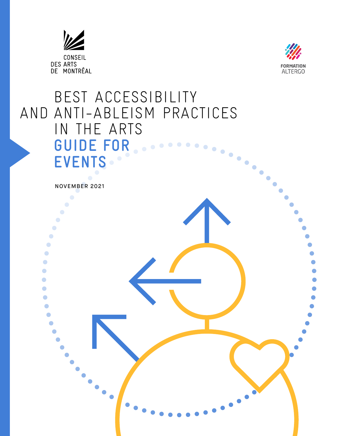



 $\bullet$ 

# BEST ACCESSIBILITY AND ANTI-ABLEISM PRACTICES IN THE ARTS  **GUIDE FOR EVENTS**

NOVEMBER 2021

 $\bullet$  $\bullet$  $\bullet$  $\bullet$  $\bullet$  $\bullet$  $\bullet$  $\bullet$  $\bullet$ ●  $\bullet$  $\blacksquare$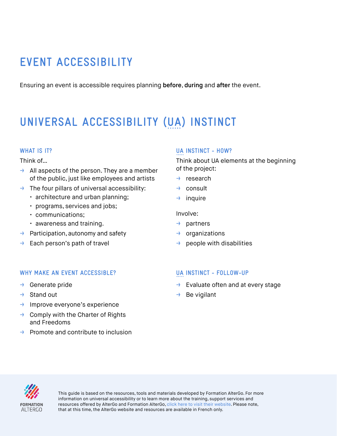### **EVENT ACCESSIBILITY**

Ensuring an event is accessible requires planning before, during and after the event.

## **UNIVERSAL ACCESSIBILITY (UA) INSTINCT**

#### **WHAT IS IT?**

Think of…

- $\rightarrow$  All aspects of the person. They are a member of the public, just like employees and artists
- $\rightarrow$  The four pillars of universal accessibility:
	- architecture and urban planning;
	- programs, services and jobs;
	- communications;
	- awareness and training.
- $\rightarrow$  Participation, autonomy and safety
- $\rightarrow$  Each person's path of travel

#### **UA INSTINCT - HOW?**

Think about UA elements at the beginning of the project:

- → research
- → consult
- $\rightarrow$  inquire

Involve:

- → partners
- $\rightarrow$  organizations
- $\rightarrow$  people with disabilities

#### **WHY MAKE AN EVENT ACCESSIBLE?**

- $\rightarrow$  Generate pride
- → Stand out
- → Improve everyone's experience
- $\rightarrow$  Comply with the Charter of Rights and Freedoms
- $\rightarrow$  Promote and contribute to inclusion

#### **UA INSTINCT - FOLLOW-UP**

- $\rightarrow$  Evaluate often and at every stage
- $\rightarrow$  Be vigilant



This guide is based on the resources, tools and materials developed by Formation AlterGo. For more information on universal accessibility or to learn more about the training, support services and resources offered by AlterGo and Formation AlterGo, click here to visit their website. Please note, that at this time, the AlterGo website and resources are available in French only.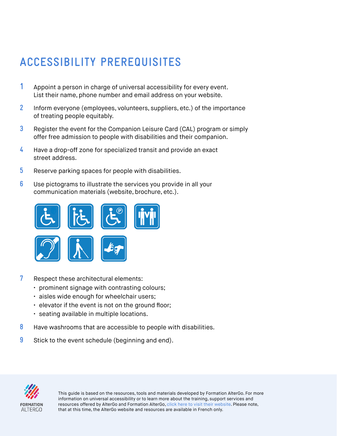## **ACCESSIBILITY PREREQUISITES**

- **1** Appoint a person in charge of universal accessibility for every event. List their name, phone number and email address on your website.
- **2** Inform everyone (employees, volunteers, suppliers, etc.) of the importance of treating people equitably.
- **3** Register the event for the Companion Leisure Card (CAL) program or simply offer free admission to people with disabilities and their companion.
- **4** Have a drop-off zone for specialized transit and provide an exact street address.
- **5** Reserve parking spaces for people with disabilities.
- **6** Use pictograms to illustrate the services you provide in all your communication materials (website, brochure, etc.).



- **7** Respect these architectural elements:
	- prominent signage with contrasting colours;
	- aisles wide enough for wheelchair users;
	- elevator if the event is not on the ground floor;
	- seating available in multiple locations.
- **8** Have washrooms that are accessible to people with disabilities.
- **9** Stick to the event schedule (beginning and end).



This guide is based on the resources, tools and materials developed by Formation AlterGo. For more information on universal accessibility or to learn more about the training, support services and resources offered by AlterGo and Formation AlterGo, click here to visit their website. Please note, that at this time, the AlterGo website and resources are available in French only.